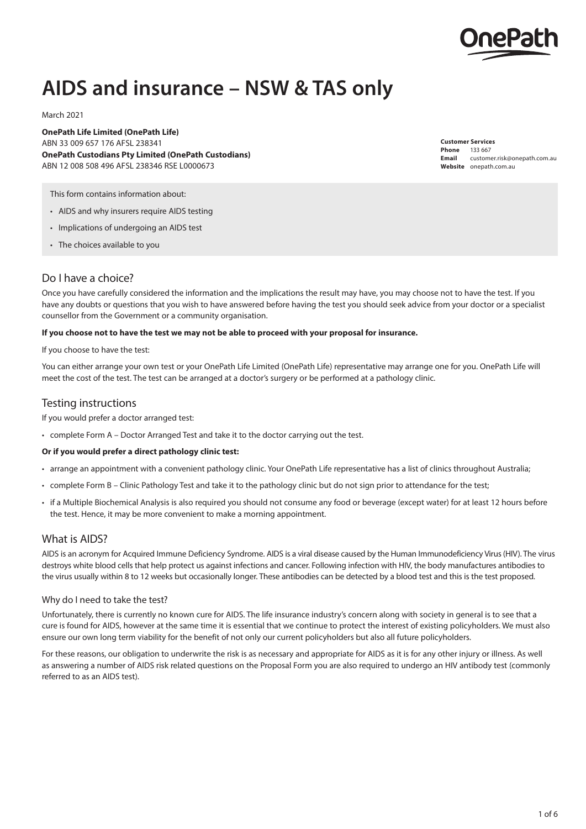

# **AIDS and insurance – NSW & TAS only**

March 2021

**OnePath Life Limited (OnePath Life)** ABN 33 009 657 176 AFSL 238341 **OnePath Custodians Pty Limited (OnePath Custodians)** ABN 12 008 508 496 AFSL 238346 RSE L0000673

**Customer Services Phone** 133 667<br>**Email** custom **Email** customer.risk@onepath.com.au **Website** [onepath.com.au](http://www.onepath.com.au)

This form contains information about:

- AIDS and why insurers require AIDS testing
- Implications of undergoing an AIDS test
- The choices available to you

# Do I have a choice?

Once you have carefully considered the information and the implications the result may have, you may choose not to have the test. If you have any doubts or questions that you wish to have answered before having the test you should seek advice from your doctor or a specialist counsellor from the Government or a community organisation.

#### **If you choose not to have the test we may not be able to proceed with your proposal for insurance.**

If you choose to have the test:

You can either arrange your own test or your OnePath Life Limited (OnePath Life) representative may arrange one for you. OnePath Life will meet the cost of the test. The test can be arranged at a doctor's surgery or be performed at a pathology clinic.

# Testing instructions

If you would prefer a doctor arranged test:

• complete Form A – Doctor Arranged Test and take it to the doctor carrying out the test.

#### **Or if you would prefer a direct pathology clinic test:**

- arrange an appointment with a convenient pathology clinic. Your OnePath Life representative has a list of clinics throughout Australia;
- complete Form B Clinic Pathology Test and take it to the pathology clinic but do not sign prior to attendance for the test;
- if a Multiple Biochemical Analysis is also required you should not consume any food or beverage (except water) for at least 12 hours before the test. Hence, it may be more convenient to make a morning appointment.

# What is AIDS?

AIDS is an acronym for Acquired Immune Deficiency Syndrome. AIDS is a viral disease caused by the Human Immunodeficiency Virus (HIV). The virus destroys white blood cells that help protect us against infections and cancer. Following infection with HIV, the body manufactures antibodies to the virus usually within 8 to 12 weeks but occasionally longer. These antibodies can be detected by a blood test and this is the test proposed.

#### Why do I need to take the test?

Unfortunately, there is currently no known cure for AIDS. The life insurance industry's concern along with society in general is to see that a cure is found for AIDS, however at the same time it is essential that we continue to protect the interest of existing policyholders. We must also ensure our own long term viability for the benefit of not only our current policyholders but also all future policyholders.

For these reasons, our obligation to underwrite the risk is as necessary and appropriate for AIDS as it is for any other injury or illness. As well as answering a number of AIDS risk related questions on the Proposal Form you are also required to undergo an HIV antibody test (commonly referred to as an AIDS test).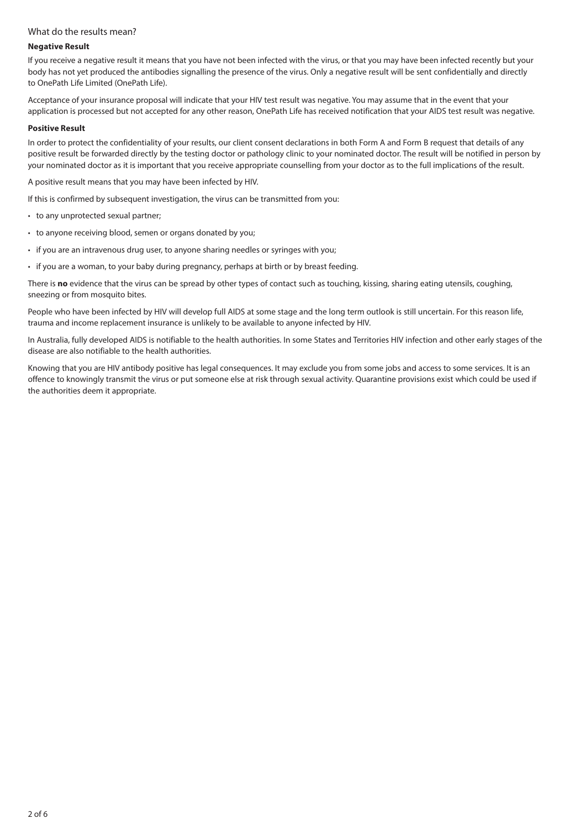# What do the results mean?

#### **Negative Result**

If you receive a negative result it means that you have not been infected with the virus, or that you may have been infected recently but your body has not yet produced the antibodies signalling the presence of the virus. Only a negative result will be sent confidentially and directly to OnePath Life Limited (OnePath Life).

Acceptance of your insurance proposal will indicate that your HIV test result was negative. You may assume that in the event that your application is processed but not accepted for any other reason, OnePath Life has received notification that your AIDS test result was negative.

#### **Positive Result**

In order to protect the confidentiality of your results, our client consent declarations in both Form A and Form B request that details of any positive result be forwarded directly by the testing doctor or pathology clinic to your nominated doctor. The result will be notified in person by your nominated doctor as it is important that you receive appropriate counselling from your doctor as to the full implications of the result.

A positive result means that you may have been infected by HIV.

If this is confirmed by subsequent investigation, the virus can be transmitted from you:

- to any unprotected sexual partner;
- to anyone receiving blood, semen or organs donated by you;
- if you are an intravenous drug user, to anyone sharing needles or syringes with you;
- if you are a woman, to your baby during pregnancy, perhaps at birth or by breast feeding.

There is **no** evidence that the virus can be spread by other types of contact such as touching, kissing, sharing eating utensils, coughing, sneezing or from mosquito bites.

People who have been infected by HIV will develop full AIDS at some stage and the long term outlook is still uncertain. For this reason life, trauma and income replacement insurance is unlikely to be available to anyone infected by HIV.

In Australia, fully developed AIDS is notifiable to the health authorities. In some States and Territories HIV infection and other early stages of the disease are also notifiable to the health authorities.

Knowing that you are HIV antibody positive has legal consequences. It may exclude you from some jobs and access to some services. It is an offence to knowingly transmit the virus or put someone else at risk through sexual activity. Quarantine provisions exist which could be used if the authorities deem it appropriate.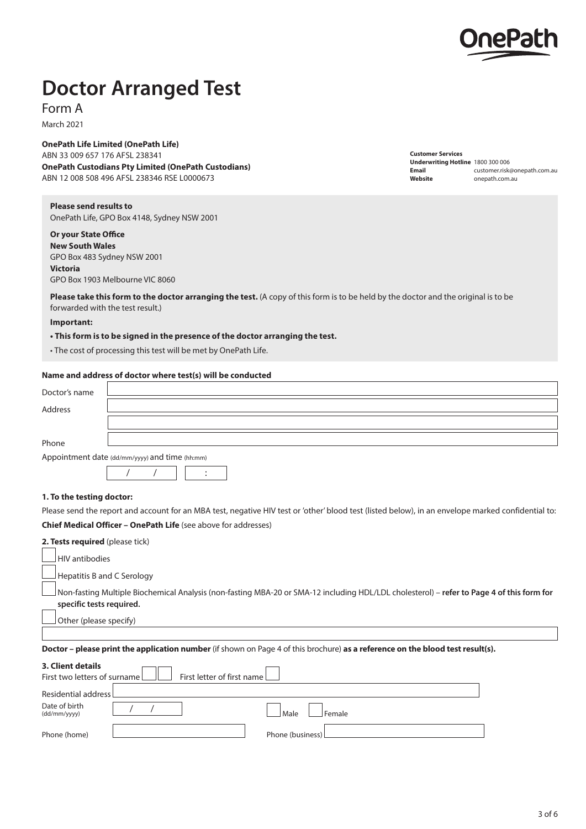

# **Doctor Arranged Test**

Form A

March 2021

**OnePath Life Limited (OnePath Life)**

ABN 33 009 657 176 AFSL 238341 **OnePath Custodians Pty Limited (OnePath Custodians)** ABN 12 008 508 496 AFSL 238346 RSE L0000673

**Customer Services Underwriting Hotline** 1800 300 006 **Email** customer.risk@onepath.com.au **Website** [onepath.com.au](http://www.onepath.com.au)

**Please send results to** 

OnePath Life, GPO Box 4148, Sydney NSW 2001

**Or your State Office**

**New South Wales** GPO Box 483 Sydney NSW 2001 **Victoria** GPO Box 1903 Melbourne VIC 8060

**Please take this form to the doctor arranging the test.** (A copy of this form is to be held by the doctor and the original is to be forwarded with the test result.)

**Important:**

**• This form is to be signed in the presence of the doctor arranging the test.**

• The cost of processing this test will be met by OnePath Life.

#### **Name and address of doctor where test(s) will be conducted**

| Doctor's name                   |                                                                                                                                                    |
|---------------------------------|----------------------------------------------------------------------------------------------------------------------------------------------------|
| <b>Address</b>                  |                                                                                                                                                    |
|                                 |                                                                                                                                                    |
| Phone                           |                                                                                                                                                    |
|                                 | Appointment date (dd/mm/yyyy) and time (hh:mm)                                                                                                     |
|                                 |                                                                                                                                                    |
| 1. To the testing doctor:       |                                                                                                                                                    |
|                                 | Please send the report and account for an MBA test, negative HIV test or 'other' blood test (listed below), in an envelope marked confidential to: |
|                                 | <b>Chief Medical Officer – OnePath Life</b> (see above for addresses)                                                                              |
| 2. Tests required (please tick) |                                                                                                                                                    |
| HIV antibodies                  |                                                                                                                                                    |
| Hepatitis B and C Serology      |                                                                                                                                                    |
| specific tests required.        | Non-fasting Multiple Biochemical Analysis (non-fasting MBA-20 or SMA-12 including HDL/LDL cholesterol) – refer to Page 4 of this form for          |

Other (please specify)

**Doctor – please print the application number** (if shown on Page 4 of this brochure) **as a reference on the blood test result(s).**

| 3. Client details                                             |                        |  |  |  |
|---------------------------------------------------------------|------------------------|--|--|--|
| First two letters of surname       First letter of first name |                        |  |  |  |
|                                                               |                        |  |  |  |
| Residential address                                           |                        |  |  |  |
| Date of birth<br>(dd/mm/yyyy)                                 | <b>Female</b><br>ماMal |  |  |  |
| Phone (home)                                                  | Phone (business) L     |  |  |  |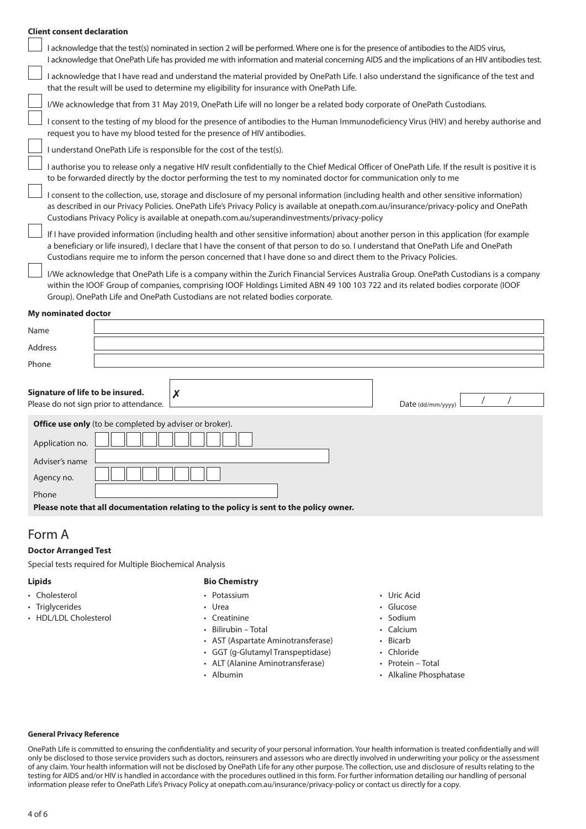# **Client consent declaration**

| Client consent declaration       |                                                                                                                                                                                                                                                                                                                                                                                                       |  |  |  |
|----------------------------------|-------------------------------------------------------------------------------------------------------------------------------------------------------------------------------------------------------------------------------------------------------------------------------------------------------------------------------------------------------------------------------------------------------|--|--|--|
|                                  | I acknowledge that the test(s) nominated in section 2 will be performed. Where one is for the presence of antibodies to the AIDS virus,<br>I acknowledge that OnePath Life has provided me with information and material concerning AIDS and the implications of an HIV antibodies test.                                                                                                              |  |  |  |
|                                  | I acknowledge that I have read and understand the material provided by OnePath Life. I also understand the significance of the test and<br>that the result will be used to determine my eligibility for insurance with OnePath Life.                                                                                                                                                                  |  |  |  |
|                                  | I/We acknowledge that from 31 May 2019, OnePath Life will no longer be a related body corporate of OnePath Custodians.                                                                                                                                                                                                                                                                                |  |  |  |
|                                  | I consent to the testing of my blood for the presence of antibodies to the Human Immunodeficiency Virus (HIV) and hereby authorise and<br>request you to have my blood tested for the presence of HIV antibodies.                                                                                                                                                                                     |  |  |  |
|                                  | I understand OnePath Life is responsible for the cost of the test(s).                                                                                                                                                                                                                                                                                                                                 |  |  |  |
|                                  | I authorise you to release only a negative HIV result confidentially to the Chief Medical Officer of OnePath Life. If the result is positive it is<br>to be forwarded directly by the doctor performing the test to my nominated doctor for communication only to me                                                                                                                                  |  |  |  |
|                                  | I consent to the collection, use, storage and disclosure of my personal information (including health and other sensitive information)<br>as described in our Privacy Policies. OnePath Life's Privacy Policy is available at onepath.com.au/insurance/privacy-policy and OnePath<br>Custodians Privacy Policy is available at onepath.com.au/superandinvestments/privacy-policy                      |  |  |  |
|                                  | If I have provided information (including health and other sensitive information) about another person in this application (for example<br>a beneficiary or life insured), I declare that I have the consent of that person to do so. I understand that OnePath Life and OnePath<br>Custodians require me to inform the person concerned that I have done so and direct them to the Privacy Policies. |  |  |  |
|                                  | I/We acknowledge that OnePath Life is a company within the Zurich Financial Services Australia Group. OnePath Custodians is a company<br>within the IOOF Group of companies, comprising IOOF Holdings Limited ABN 49 100 103 722 and its related bodies corporate (IOOF<br>Group). OnePath Life and OnePath Custodians are not related bodies corporate.                                              |  |  |  |
| My nominated doctor              |                                                                                                                                                                                                                                                                                                                                                                                                       |  |  |  |
| Name                             |                                                                                                                                                                                                                                                                                                                                                                                                       |  |  |  |
| <b>Address</b>                   |                                                                                                                                                                                                                                                                                                                                                                                                       |  |  |  |
| Phone                            |                                                                                                                                                                                                                                                                                                                                                                                                       |  |  |  |
| Signature of life to be insured. | X<br>Please do not sign prior to attendance.<br>Date (dd/mm/yyyy)                                                                                                                                                                                                                                                                                                                                     |  |  |  |
|                                  | Office use only (to be completed by adviser or broker).                                                                                                                                                                                                                                                                                                                                               |  |  |  |
| Application no.                  |                                                                                                                                                                                                                                                                                                                                                                                                       |  |  |  |
| Adviser's name                   |                                                                                                                                                                                                                                                                                                                                                                                                       |  |  |  |
| Agency no.                       |                                                                                                                                                                                                                                                                                                                                                                                                       |  |  |  |
| Phone                            |                                                                                                                                                                                                                                                                                                                                                                                                       |  |  |  |

**Please note that all documentation relating to the policy is sent to the policy owner.**

# Form A

## **Doctor Arranged Test**

Special tests required for Multiple Biochemical Analysis

#### **Lipids**

- Cholesterol
- Triglycerides
- HDL/LDL Cholesterol

#### **Bio Chemistry**

- Potassium
- Urea
- Creatinine
- Bilirubin Total
- AST (Aspartate Aminotransferase)
- GGT (g-Glutamyl Transpeptidase)
- ALT (Alanine Aminotransferase)
- Albumin
- Uric Acid
- Glucose
- Sodium
- Calcium
- Bicarb
- Chloride
- Protein Total
- Alkaline Phosphatase

#### **General Privacy Reference**

OnePath Life is committed to ensuring the confidentiality and security of your personal information. Your health information is treated confidentially and will only be disclosed to those service providers such as doctors, reinsurers and assessors who are directly involved in underwriting your policy or the assessment of any claim. Your health information will not be disclosed by OnePath Life for any other purpose. The collection, use and disclosure of results relating to the testing for AIDS and/or HIV is handled in accordance with the procedures outlined in this form. For further information detailing our handling of personal information please refer to OnePath Life's Privacy Policy at [onepath.com.au/insurance/privacy-policy](http://www.onepath.com.au/insurance/privacy-policy) or contact us directly for a copy.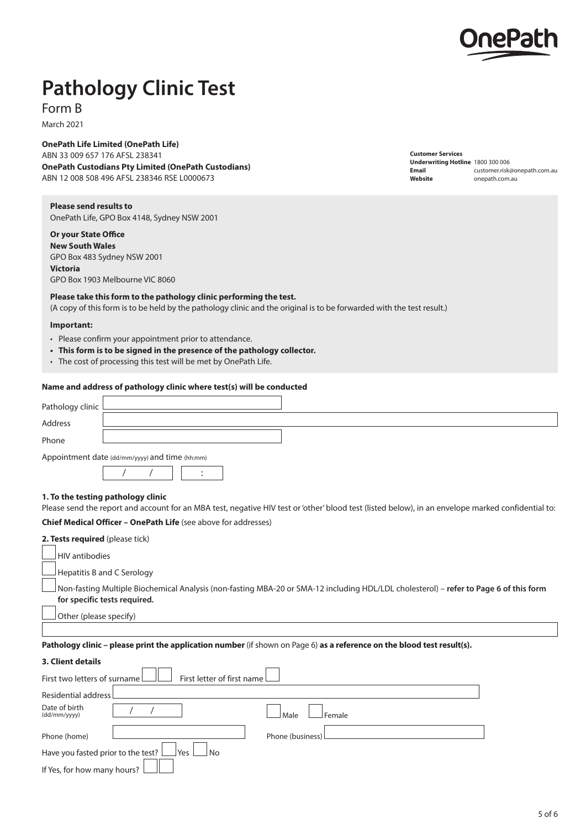

**Customer Services**

**Underwriting Hotline** 1800 300 006

**Website** [onepath.com.au](http://www.onepath.com.au)

**Email** customer.risk@onepath.com.au

# **Pathology Clinic Test**

Form B

March 2021

**OnePath Life Limited (OnePath Life)** ABN 33 009 657 176 AFSL 238341 **OnePath Custodians Pty Limited (OnePath Custodians)**

ABN 12 008 508 496 AFSL 238346 RSE L0000673

**Please send results to**  OnePath Life, GPO Box 4148, Sydney NSW 2001

**Or your State Office New South Wales** GPO Box 483 Sydney NSW 2001 **Victoria** GPO Box 1903 Melbourne VIC 8060

# **Please take this form to the pathology clinic performing the test.**

(A copy of this form is to be held by the pathology clinic and the original is to be forwarded with the test result.)

#### **Important:**

- Please confirm your appointment prior to attendance.
- **• This form is to be signed in the presence of the pathology collector.**
- The cost of processing this test will be met by OnePath Life.

#### **Name and address of pathology clinic where test(s) will be conducted**

| Pathology clinic L                             |                                    |  |  |  |  |
|------------------------------------------------|------------------------------------|--|--|--|--|
| Address                                        |                                    |  |  |  |  |
| Phone                                          |                                    |  |  |  |  |
| Appointment date (dd/mm/yyyy) and time (hh:mm) |                                    |  |  |  |  |
|                                                |                                    |  |  |  |  |
|                                                | 1. To the testing pathology clinic |  |  |  |  |

Please send the report and account for an MBA test, negative HIV test or 'other' blood test (listed below), in an envelope marked confidential to:

## **Chief Medical Officer – OnePath Life** (see above for addresses)

| 2. Tests required (please tick)                                                                                                                                       |  |  |  |
|-----------------------------------------------------------------------------------------------------------------------------------------------------------------------|--|--|--|
| HIV antibodies                                                                                                                                                        |  |  |  |
| Hepatitis B and C Serology                                                                                                                                            |  |  |  |
| Non-fasting Multiple Biochemical Analysis (non-fasting MBA-20 or SMA-12 including HDL/LDL cholesterol) – refer to Page 6 of this form<br>for specific tests required. |  |  |  |
| Other (please specify)                                                                                                                                                |  |  |  |
| Pathology clinic – please print the application number (if shown on Page 6) as a reference on the blood test result(s).<br><b>3. Client details</b>                   |  |  |  |
| First letter of first name<br>First two letters of surname                                                                                                            |  |  |  |
| Residential address                                                                                                                                                   |  |  |  |
| Date of birth<br>Male<br>Female<br>(dd/mm/yyyy)                                                                                                                       |  |  |  |
| Phone (home)<br>Phone (business)<br>Have you fasted prior to the test?<br>Yes<br>l No                                                                                 |  |  |  |
| If Yes, for how many hours?                                                                                                                                           |  |  |  |

5 of 6